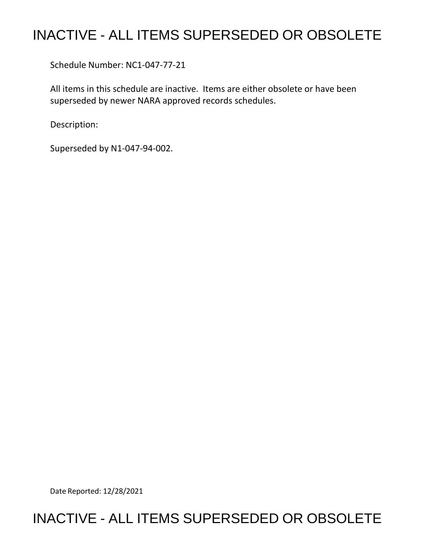## INACTIVE - ALL ITEMS SUPERSEDED OR OBSOLETE

Schedule Number: NC1-047-77-21

 All items in this schedule are inactive. Items are either obsolete or have been superseded by newer NARA approved records schedules.

Description:

Superseded by N1-047-94-002.

Date Reported: 12/28/2021

## INACTIVE - ALL ITEMS SUPERSEDED OR OBSOLETE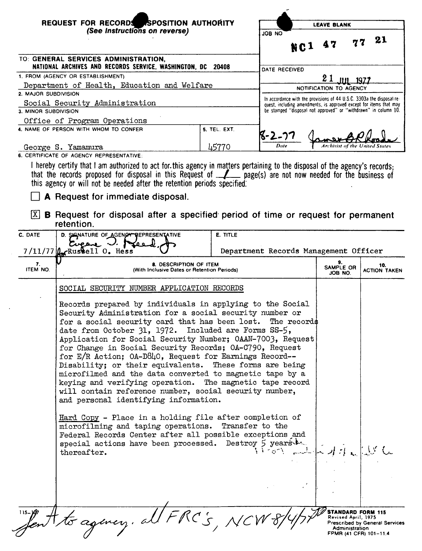| REQUEST FOR RECORDS ASPOSITION AUTHORITY<br>(See Instructions on reverse) |                                                                                                                                                                                                                                                                                                                                                                                                                                                                                                                                                                                                                                                                                                                        | <b>LEAVE BLANK</b>                                              |                                                                                                                                             |                                |                            |
|---------------------------------------------------------------------------|------------------------------------------------------------------------------------------------------------------------------------------------------------------------------------------------------------------------------------------------------------------------------------------------------------------------------------------------------------------------------------------------------------------------------------------------------------------------------------------------------------------------------------------------------------------------------------------------------------------------------------------------------------------------------------------------------------------------|-----------------------------------------------------------------|---------------------------------------------------------------------------------------------------------------------------------------------|--------------------------------|----------------------------|
|                                                                           |                                                                                                                                                                                                                                                                                                                                                                                                                                                                                                                                                                                                                                                                                                                        |                                                                 | ON 80L<br>N C 1                                                                                                                             |                                | 21                         |
|                                                                           | TO: GENERAL SERVICES ADMINISTRATION,<br>NATIONAL ARCHIVES AND RECORDS SERVICE, WASHINGTON, DC 20408                                                                                                                                                                                                                                                                                                                                                                                                                                                                                                                                                                                                                    |                                                                 | DATE RECEIVED                                                                                                                               |                                |                            |
| 1. FROM (AGENCY OR ESTABLISHMENT)                                         |                                                                                                                                                                                                                                                                                                                                                                                                                                                                                                                                                                                                                                                                                                                        |                                                                 |                                                                                                                                             | 21                             |                            |
| Department of Health, Education and Welfare                               |                                                                                                                                                                                                                                                                                                                                                                                                                                                                                                                                                                                                                                                                                                                        |                                                                 | NOTIFICATION TO AGENCY                                                                                                                      |                                |                            |
| 2. MAJOR SUBDIVISION                                                      |                                                                                                                                                                                                                                                                                                                                                                                                                                                                                                                                                                                                                                                                                                                        |                                                                 |                                                                                                                                             |                                |                            |
| Social Security Administration                                            |                                                                                                                                                                                                                                                                                                                                                                                                                                                                                                                                                                                                                                                                                                                        |                                                                 | In accordance with the provisions of 44 U.S.C. 3303a the disposal re-<br>quest, including amendments, is approved except for items that may |                                |                            |
| 3. MINOR SUBDIVISION                                                      |                                                                                                                                                                                                                                                                                                                                                                                                                                                                                                                                                                                                                                                                                                                        | be stamped "disposal not approved" or "withdrawn" in column 10. |                                                                                                                                             |                                |                            |
|                                                                           | Office of Program Operations                                                                                                                                                                                                                                                                                                                                                                                                                                                                                                                                                                                                                                                                                           |                                                                 |                                                                                                                                             |                                |                            |
|                                                                           | 4. NAME OF PERSON WITH WHOM TO CONFER                                                                                                                                                                                                                                                                                                                                                                                                                                                                                                                                                                                                                                                                                  | 5. TEL. EXT.                                                    | K-2-77                                                                                                                                      |                                |                            |
|                                                                           |                                                                                                                                                                                                                                                                                                                                                                                                                                                                                                                                                                                                                                                                                                                        | 45770                                                           | Date                                                                                                                                        | Archivist of the United States |                            |
|                                                                           | George S. Yamamura<br>6. CERTIFICATE OF AGENCY REPRESENTATIVE:                                                                                                                                                                                                                                                                                                                                                                                                                                                                                                                                                                                                                                                         |                                                                 |                                                                                                                                             |                                |                            |
| [X]                                                                       | this agency or will not be needed after the retention periods specified.<br>A Request for immediate disposal.<br><b>B</b> Request for disposal after a specified period of time or request for permanent<br>retention.                                                                                                                                                                                                                                                                                                                                                                                                                                                                                                 |                                                                 |                                                                                                                                             |                                |                            |
| C. DATE                                                                   | D. SIGNATURE OF AGENCY REPRESENTATIVE<br>Cucane V.                                                                                                                                                                                                                                                                                                                                                                                                                                                                                                                                                                                                                                                                     |                                                                 |                                                                                                                                             |                                |                            |
|                                                                           | $7/11/77$ $\mu$ Russell 0. Hess                                                                                                                                                                                                                                                                                                                                                                                                                                                                                                                                                                                                                                                                                        |                                                                 | Department Records Management Officer                                                                                                       |                                |                            |
| 7.<br>ITEM NO.                                                            | 8. DESCRIPTION OF ITEM<br>(With Inclusive Dates or Retention Periods)                                                                                                                                                                                                                                                                                                                                                                                                                                                                                                                                                                                                                                                  |                                                                 |                                                                                                                                             | 9.<br>SAMPLE OR<br>JOB NO.     | 10.<br><b>ACTION TAKEN</b> |
|                                                                           | SOCIAL SECURITY NUMBER APPLICATION RECORDS                                                                                                                                                                                                                                                                                                                                                                                                                                                                                                                                                                                                                                                                             |                                                                 |                                                                                                                                             |                                |                            |
|                                                                           | Records prepared by individuals in applying to the Social<br>Security Administration for a social security number or<br>for a social security card that has been lost.<br>The records<br>date from October 31, 1972. Included are Forms SS-5,<br>Application for Social Security Number; OAAN-7003, Request<br>for Change in Social Security Records; OA-C790, Request<br>for E/R Action; OA-D840, Request for Earnings Record--<br>Disability; or their equivalents. These forms are being<br>microfilmed and the data converted to magnetic tape by a<br>keying and verifying operation. The magnetic tape record<br>will contain reference number, social security number,<br>and personal identifying information. |                                                                 |                                                                                                                                             |                                |                            |
|                                                                           | Hard Copy - Place in a holding file after completion of<br>microfilming and taping operations. Transfer to the<br>Federal Records Center after all possible exceptions and<br>special actions have been processed. Destroy 5 years to<br>thereafter.                                                                                                                                                                                                                                                                                                                                                                                                                                                                   |                                                                 | $y > \text{years}$                                                                                                                          |                                |                            |

fent to agincy. all FRC's, NCW

**STANDARD FORM 115**<br>Revised April, 1975<br>Prescribed by General Services<br>Administration<br>FPMR (41 CFR) 101-11.4

Ō,